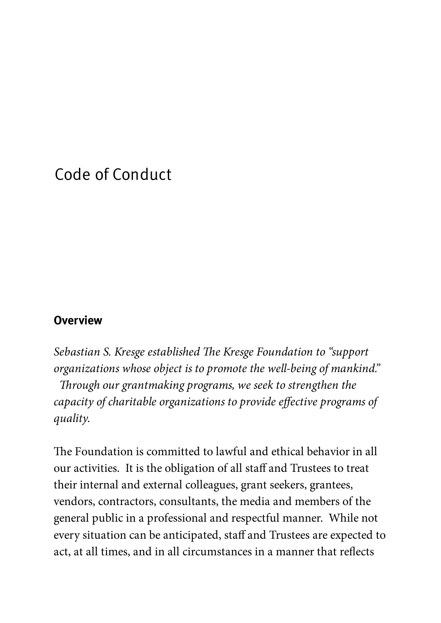# Code of Conduct

#### **Overview**

Sebastian S. Kresge established The Kresge Foundation to "support" organizations whose object is to promote the well-being of mankind." Through our grantmaking programs, we seek to strengthen the capacity of charitable organizations to provide effective programs of quality.

The Foundation is committed to lawful and ethical behavior in all our activities. It is the obligation of all staff and Trustees to treat their internal and external colleagues, grant seekers, grantees, vendors, contractors, consultants, the media and members of the general public in a professional and respectful manner. While not every situation can be anticipated, staff and Trustees are expected to act, at all times, and in all circumstances in a manner that reflects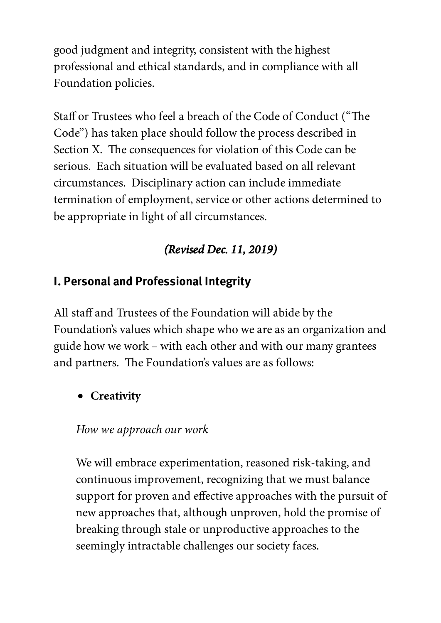good judgment and integrity, consistent with the highest professional and ethical standards, and in compliance with all Foundation policies.

Staff or Trustees who feel a breach of the Code of Conduct ("The Code") has taken place should follow the process described in Section X. The consequences for violation of this Code can be serious. Each situation will be evaluated based on all relevant circumstances. Disciplinary action can include immediate termination of employment, service or other actions determined to be appropriate in light of all circumstances.

## (Revised Dec. 11, 2019)

### I. Personal and Professional Integrity

All staff and Trustees of the Foundation will abide by the Foundation's values which shape who we are as an organization and guide how we work – with each other and with our many grantees and partners. The Foundation's values are as follows:

## **Creativity**

### How we approach our work

We will embrace experimentation, reasoned risk-taking, and continuous improvement, recognizing that we must balance support for proven and effective approaches with the pursuit of new approaches that, although unproven, hold the promise of breaking through stale or unproductive approaches to the seemingly intractable challenges our society faces.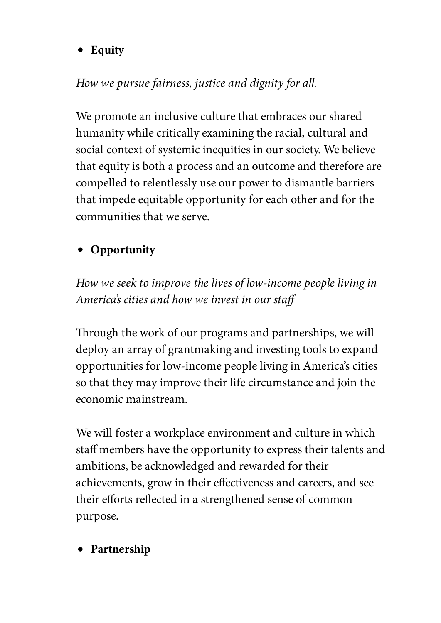**Equity**

## How we pursue fairness, justice and dignity for all.

We promote an inclusive culture that embraces our shared humanity while critically examining the racial, cultural and social context of systemic inequities in our society. We believe that equity is both a process and an outcome and therefore are compelled to relentlessly use our power to dismantle barriers that impede equitable opportunity for each other and for the communities that we serve.

## **Opportunity**

How we seek to improve the lives of low-income people living in America's cities and how we invest in our staff

Through the work of our programs and partnerships, we will deploy an array of grantmaking and investing tools to expand opportunities for low-income people living in America's cities so that they may improve their life circumstance and join the economic mainstream.

We will foster a workplace environment and culture in which staff members have the opportunity to express their talents and ambitions, be acknowledged and rewarded for their achievements, grow in their effectiveness and careers, and see their efforts reflected in a strengthened sense of common purpose.

**Partnership**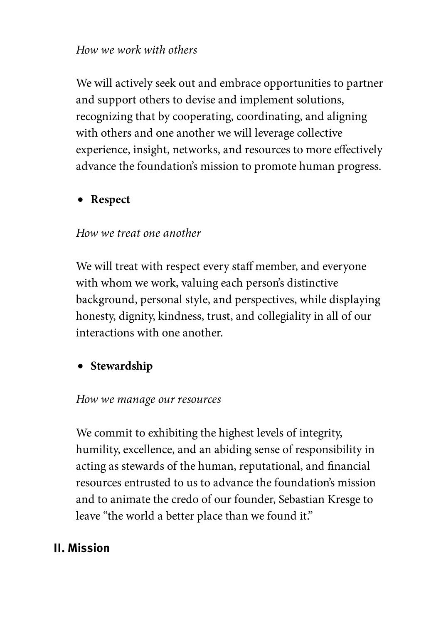#### How we work with others

We will actively seek out and embrace opportunities to partner and support others to devise and implement solutions, recognizing that by cooperating, coordinating, and aligning with others and one another we will leverage collective experience, insight, networks, and resources to more effectively advance the foundation's mission to promote human progress.

#### **Respect**

#### How we treat one another

We will treat with respect every staff member, and everyone with whom we work, valuing each person's distinctive background, personal style, and perspectives, while displaying honesty, dignity, kindness, trust, and collegiality in all of our interactions with one another.

### **•** Stewardship

#### How we manage our resources

We commit to exhibiting the highest levels of integrity, humility, excellence, and an abiding sense of responsibility in acting as stewards of the human, reputational, and financial resources entrusted to us to advance the foundation's mission and to animate the credo of our founder, Sebastian Kresge to leave "the world a better place than we found it."

#### II. Mission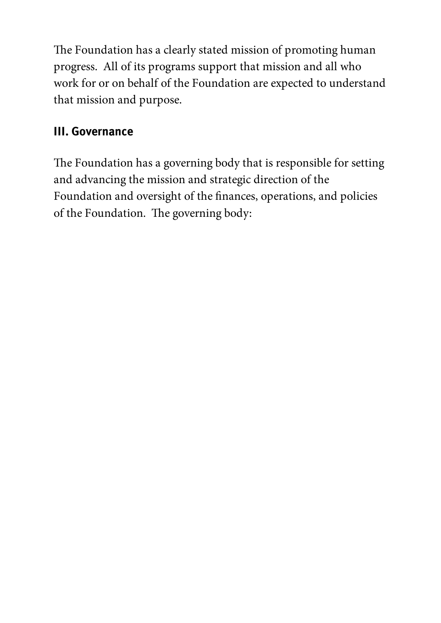The Foundation has a clearly stated mission of promoting human progress. All of its programs support that mission and all who work for or on behalf of the Foundation are expected to understand that mission and purpose.

## III. Governance

The Foundation has a governing body that is responsible for setting and advancing the mission and strategic direction of the Foundation and oversight of the finances, operations, and policies of the Foundation. The governing body: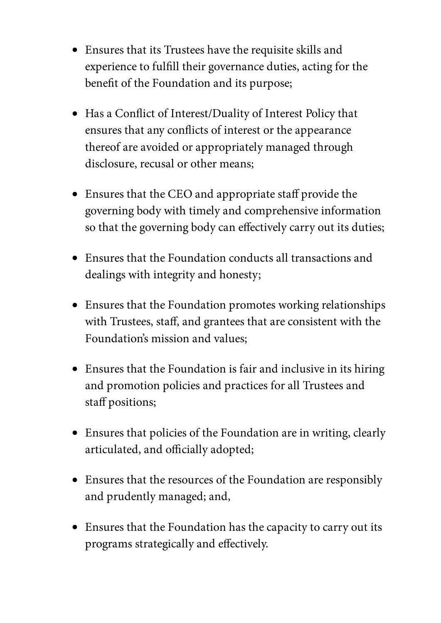- Ensures that its Trustees have the requisite skills and experience to fulfill their governance duties, acting for the benefit of the Foundation and its purpose;
- Has a Conflict of Interest/Duality of Interest Policy that ensures that any conflicts of interest or the appearance thereof are avoided or appropriately managed through disclosure, recusal or other means;
- Ensures that the CEO and appropriate staff provide the governing body with timely and comprehensive information so that the governing body can effectively carry out its duties;
- Ensures that the Foundation conducts all transactions and dealings with integrity and honesty;
- Ensures that the Foundation promotes working relationships with Trustees, staff, and grantees that are consistent with the Foundation's mission and values;
- Ensures that the Foundation is fair and inclusive in its hiring and promotion policies and practices for all Trustees and staff positions;
- Ensures that policies of the Foundation are in writing, clearly articulated, and officially adopted;
- Ensures that the resources of the Foundation are responsibly and prudently managed; and,
- Ensures that the Foundation has the capacity to carry out its programs strategically and effectively.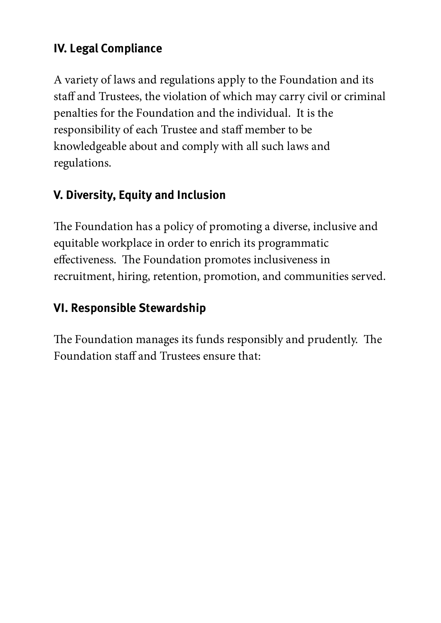## IV. Legal Compliance

A variety of laws and regulations apply to the Foundation and its staff and Trustees, the violation of which may carry civil or criminal penalties for the Foundation and the individual. It is the responsibility of each Trustee and staff member to be knowledgeable about and comply with all such laws and regulations.

## V. Diversity, Equity and Inclusion

The Foundation has a policy of promoting a diverse, inclusive and equitable workplace in order to enrich its programmatic effectiveness. The Foundation promotes inclusiveness in recruitment, hiring, retention, promotion, and communities served.

## VI. Responsible Stewardship

The Foundation manages its funds responsibly and prudently. The Foundation staff and Trustees ensure that: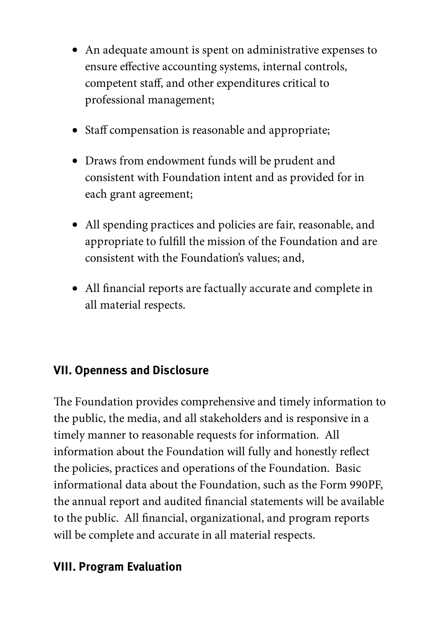- An adequate amount is spent on administrative expenses to ensure effective accounting systems, internal controls, competent staff, and other expenditures critical to professional management;
- Staff compensation is reasonable and appropriate;
- Draws from endowment funds will be prudent and consistent with Foundation intent and as provided for in each grant agreement;
- All spending practices and policies are fair, reasonable, and appropriate to fulfill the mission of the Foundation and are consistent with the Foundation's values; and,
- All financial reports are factually accurate and complete in all material respects.

### VII. Openness and Disclosure

The Foundation provides comprehensive and timely information to the public, the media, and all stakeholders and is responsive in a timely manner to reasonable requests for information. All information about the Foundation will fully and honestly reflect the policies, practices and operations of the Foundation. Basic informational data about the Foundation, such as the Form 990PF, the annual report and audited financial statements will be available to the public. All financial, organizational, and program reports will be complete and accurate in all material respects.

## VIII. Program Evaluation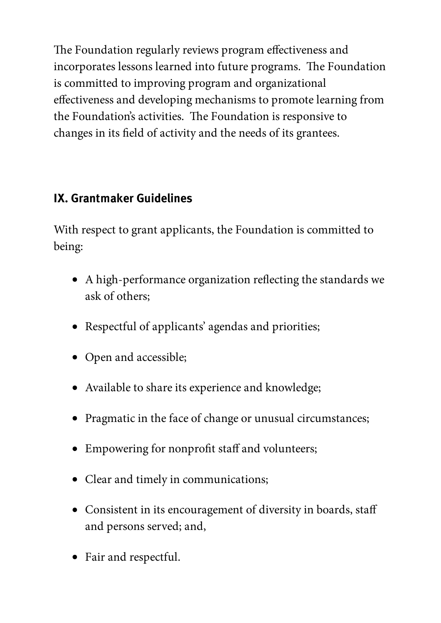The Foundation regularly reviews program effectiveness and incorporates lessons learned into future programs. The Foundation is committed to improving program and organizational effectiveness and developing mechanisms to promote learning from the Foundation's activities. The Foundation is responsive to changes in its field of activity and the needs of its grantees.

## IX. Grantmaker Guidelines

With respect to grant applicants, the Foundation is committed to being:

- $\bullet$  A high-performance organization reflecting the standards we ask of others;
- Respectful of applicants' agendas and priorities;
- Open and accessible;
- Available to share its experience and knowledge;
- Pragmatic in the face of change or unusual circumstances;
- Empowering for nonprofit staff and volunteers;
- Clear and timely in communications;
- Consistent in its encouragement of diversity in boards, staff and persons served; and,
- Fair and respectful.